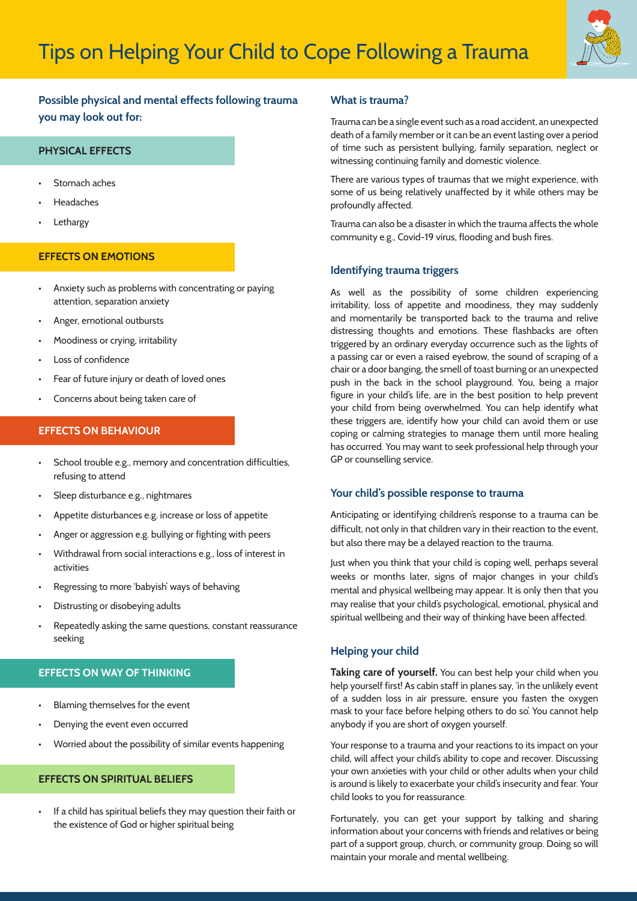

# **Possible physical and mental effects following trauma you may look out for:**

## **PHYSICAL EFFECTS**

- Stomach aches
- **Headaches**
- **Lethargy**

### **EFFECTS ON EMOTIONS**

- Anxiety such as problems with concentrating or paying attention, separation anxiety
- Anger, emotional outbursts
- Moodiness or crying, irritability
- Loss of confidence
- Fear of future injury or death of loved ones
- Concerns about being taken care of

### **EFFECTS ON BEHAVIOUR**

- School trouble e.g., memory and concentration difficulties, refusing to attend
- Sleep disturbance e.g., nightmares
- Appetite disturbances e.g. increase or loss of appetite
- Anger or aggression e.g. bullying or fighting with peers
- Withdrawal from social interactions e.g., loss of interest in activities
- Regressing to more 'babyish' ways of behaving
- Distrusting or disobeying adults
- Repeatedly asking the same questions, constant reassurance seeking

### **EFFECTS ON WAY OF THINKING**

- Blaming themselves for the event
- Denying the event even occurred
- Worried about the possibility of similar events happening

## **EFFECTS ON SPIRITUAL BELIEFS**

• If a child has spiritual beliefs they may question their faith or the existence of God or higher spiritual being

#### **What is trauma?**

Trauma can be a single event such as a road accident, an unexpected death of a family member or it can be an event lasting over a period of time such as persistent bullying, family separation, neglect or witnessing continuing family and domestic violence.

There are various types of traumas that we might experience, with some of us being relatively unaffected by it while others may be profoundly affected.

Trauma can also be a disaster in which the trauma affects the whole community e.g., Covid-19 virus, flooding and bush fires.

#### **Identifying trauma triggers**

As well as the possibility of some children experiencing irritability, loss of appetite and moodiness, they may suddenly and momentarily be transported back to the trauma and relive distressing thoughts and emotions. These flashbacks are often triggered by an ordinary everyday occurrence such as the lights of a passing car or even a raised eyebrow, the sound of scraping of a chair or a door banging, the smell of toast burning or an unexpected push in the back in the school playground. You, being a major figure in your child's life, are in the best position to help prevent your child from being overwhelmed. You can help identify what these triggers are, identify how your child can avoid them or use coping or calming strategies to manage them until more healing has occurred. You may want to seek professional help through your GP or counselling service.

#### **Your child's possible response to trauma**

Anticipating or identifying children's response to a trauma can be difficult, not only in that children vary in their reaction to the event, but also there may be a delayed reaction to the trauma.

Just when you think that your child is coping well, perhaps several weeks or months later, signs of major changes in your child's mental and physical wellbeing may appear. It is only then that you may realise that your child's psychological, emotional, physical and spiritual wellbeing and their way of thinking have been affected.

#### **Helping your child**

**Taking care of yourself.** You can best help your child when you help yourself first! As cabin staff in planes say, 'in the unlikely event of a sudden loss in air pressure, ensure you fasten the oxygen mask to your face before helping others to do so'. You cannot help anybody if you are short of oxygen yourself.

Your response to a trauma and your reactions to its impact on your child, will affect your child's ability to cope and recover. Discussing your own anxieties with your child or other adults when your child is around is likely to exacerbate your child's insecurity and fear. Your child looks to you for reassurance.

Fortunately, you can get your support by talking and sharing information about your concerns with friends and relatives or being part of a support group, church, or community group. Doing so will maintain your morale and mental wellbeing.